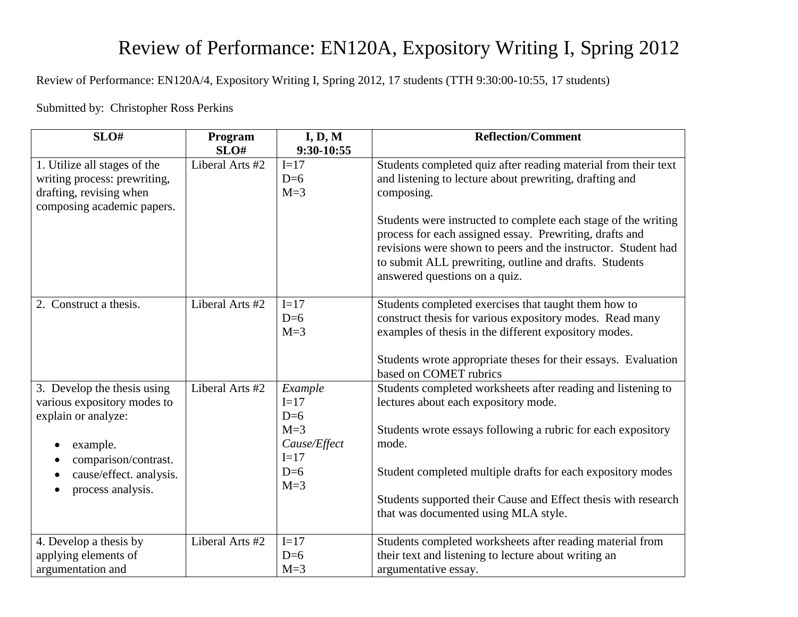# Review of Performance: EN120A, Expository Writing I, Spring 2012

Review of Performance: EN120A/4, Expository Writing I, Spring 2012, 17 students (TTH 9:30:00-10:55, 17 students)

Submitted by: Christopher Ross Perkins

| SLO#                         | Program         | I, D, M      | <b>Reflection/Comment</b>                                      |
|------------------------------|-----------------|--------------|----------------------------------------------------------------|
|                              | SLO#            | 9:30-10:55   |                                                                |
| 1. Utilize all stages of the | Liberal Arts #2 | $I=17$       | Students completed quiz after reading material from their text |
| writing process: prewriting, |                 | $D=6$        | and listening to lecture about prewriting, drafting and        |
| drafting, revising when      |                 | $M=3$        | composing.                                                     |
| composing academic papers.   |                 |              |                                                                |
|                              |                 |              | Students were instructed to complete each stage of the writing |
|                              |                 |              | process for each assigned essay. Prewriting, drafts and        |
|                              |                 |              | revisions were shown to peers and the instructor. Student had  |
|                              |                 |              | to submit ALL prewriting, outline and drafts. Students         |
|                              |                 |              | answered questions on a quiz.                                  |
|                              |                 |              |                                                                |
| 2. Construct a thesis.       | Liberal Arts #2 | $I=17$       | Students completed exercises that taught them how to           |
|                              |                 | $D=6$        | construct thesis for various expository modes. Read many       |
|                              |                 | $M=3$        | examples of thesis in the different expository modes.          |
|                              |                 |              |                                                                |
|                              |                 |              | Students wrote appropriate theses for their essays. Evaluation |
|                              |                 |              | based on COMET rubrics                                         |
| 3. Develop the thesis using  | Liberal Arts #2 | Example      | Students completed worksheets after reading and listening to   |
| various expository modes to  |                 | $I=17$       | lectures about each expository mode.                           |
| explain or analyze:          |                 | $D=6$        |                                                                |
|                              |                 | $M=3$        | Students wrote essays following a rubric for each expository   |
| example.                     |                 | Cause/Effect | mode.                                                          |
| comparison/contrast.         |                 | $I=17$       |                                                                |
| cause/effect. analysis.      |                 | $D=6$        | Student completed multiple drafts for each expository modes    |
| process analysis.            |                 | $M=3$        |                                                                |
|                              |                 |              | Students supported their Cause and Effect thesis with research |
|                              |                 |              | that was documented using MLA style.                           |
|                              |                 |              |                                                                |
| 4. Develop a thesis by       | Liberal Arts #2 | $I=17$       | Students completed worksheets after reading material from      |
| applying elements of         |                 | $D=6$        | their text and listening to lecture about writing an           |
| argumentation and            |                 | $M=3$        | argumentative essay.                                           |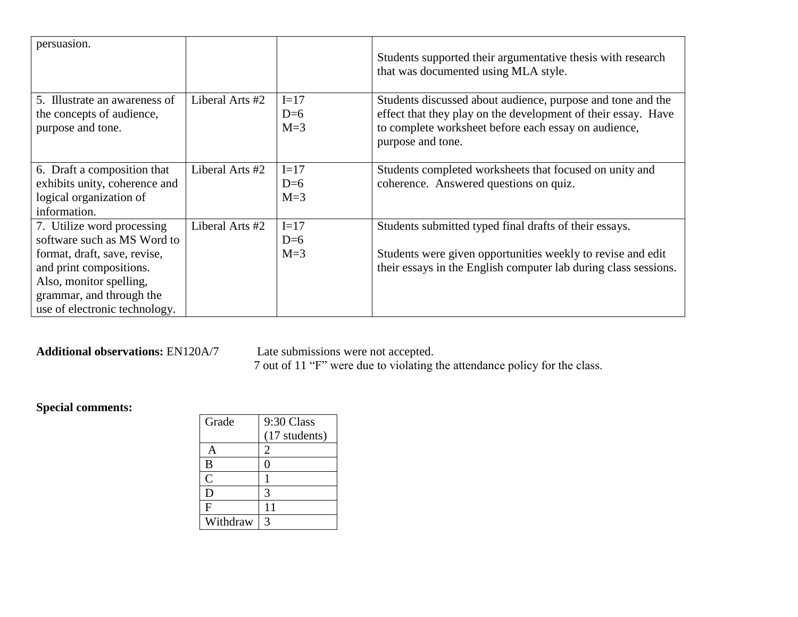| persuasion.                   |                 |        | Students supported their argumentative thesis with research<br>that was documented using MLA style. |
|-------------------------------|-----------------|--------|-----------------------------------------------------------------------------------------------------|
| 5. Illustrate an awareness of | Liberal Arts #2 | $I=17$ | Students discussed about audience, purpose and tone and the                                         |
| the concepts of audience,     |                 | $D=6$  | effect that they play on the development of their essay. Have                                       |
| purpose and tone.             |                 | $M=3$  | to complete worksheet before each essay on audience,                                                |
|                               |                 |        | purpose and tone.                                                                                   |
|                               |                 |        |                                                                                                     |
| 6. Draft a composition that   | Liberal Arts #2 | $I=17$ | Students completed worksheets that focused on unity and                                             |
| exhibits unity, coherence and |                 | $D=6$  | coherence. Answered questions on quiz.                                                              |
| logical organization of       |                 | $M=3$  |                                                                                                     |
| information.                  |                 |        |                                                                                                     |
| 7. Utilize word processing    | Liberal Arts #2 | $I=17$ | Students submitted typed final drafts of their essays.                                              |
| software such as MS Word to   |                 | $D=6$  |                                                                                                     |
| format, draft, save, revise,  |                 | $M=3$  | Students were given opportunities weekly to revise and edit                                         |
| and print compositions.       |                 |        | their essays in the English computer lab during class sessions.                                     |
| Also, monitor spelling,       |                 |        |                                                                                                     |
| grammar, and through the      |                 |        |                                                                                                     |
| use of electronic technology. |                 |        |                                                                                                     |

#### **Additional observations:** EN120A/7 Late submissions were not accepted.

7 out of 11 "F" were due to violating the attendance policy for the class.

## **Special comments:**

| Grade          | 9:30 Class    |
|----------------|---------------|
|                | (17 students) |
|                | 2             |
| B              | 0             |
| $\overline{C}$ |               |
| D              | 3             |
| F              | 11            |
| Withdraw       | 3             |